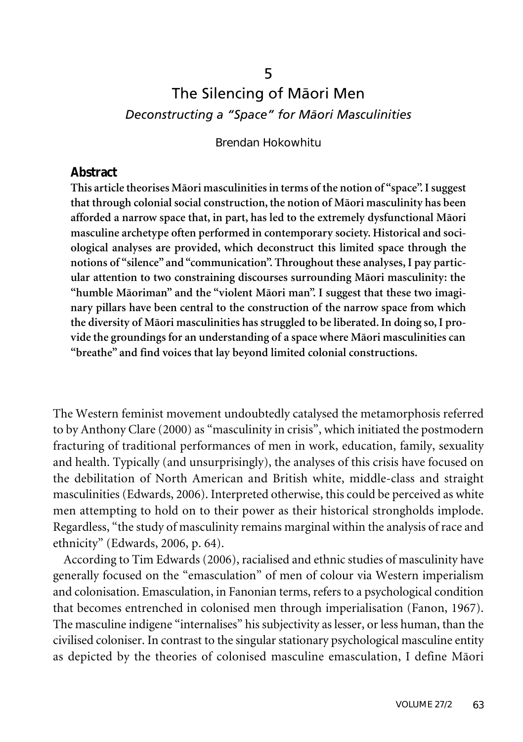# The Silencing of Mäori Men *Deconstructing a "Space" for Mäori Masculinities*

5

Brendan Hokowhitu

## **Abstract**

**This article theorises Mäori masculinitiesin terms of the notion of "space".Isuggest that through colonial social construction,the notion of Mäori masculinity has been afforded a narrow space that, in part, has led to the extremely dysfunctional Mäori masculine archetype often performed in contemporary society. Historical and sociological analyses are provided, which deconstruct this limited space through the notions of "silence" and "communication". Throughout these analyses,I pay particular attention to two constraining discourses surrounding Mäori masculinity: the "humble Mäoriman" and the "violent Mäori man". I suggest that these two imaginary pillars have been central to the construction of the narrow space from which the diversity of Mäori masculinities has struggled to be liberated.In doing so,I provide the groundings for an understanding of a space where Mäori masculinities can "breathe" and find voices that lay beyond limited colonial constructions.**

The Western feminist movement undoubtedly catalysed the metamorphosis referred to by Anthony Clare (2000) as "masculinity in crisis", which initiated the postmodern fracturing of traditional performances of men in work, education, family, sexuality and health. Typically (and unsurprisingly), the analyses of this crisis have focused on the debilitation of North American and British white, middle-class and straight masculinities (Edwards, 2006). Interpreted otherwise, this could be perceived as white men attempting to hold on to their power as their historical strongholds implode. Regardless, "the study of masculinity remains marginal within the analysis of race and ethnicity" (Edwards, 2006, p. 64).

According to Tim Edwards (2006), racialised and ethnic studies of masculinity have generally focused on the "emasculation" of men of colour via Western imperialism and colonisation. Emasculation, in Fanonian terms, refers to a psychological condition that becomes entrenched in colonised men through imperialisation (Fanon, 1967). The masculine indigene "internalises" his subjectivity as lesser, or less human, than the civilised coloniser. In contrast to the singular stationary psychological masculine entity as depicted by the theories of colonised masculine emasculation, I define Mäori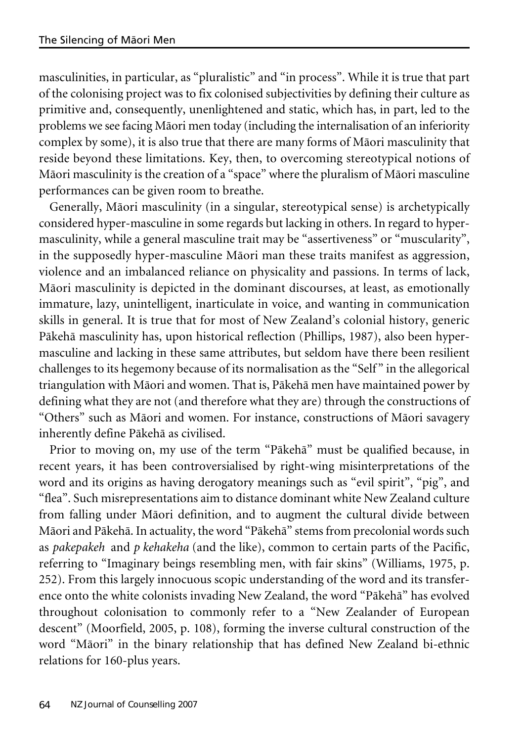masculinities, in particular, as "pluralistic" and "in process". While it is true that part of the colonising project was to fix colonised subjectivities by defining their culture as primitive and, consequently, unenlightened and static, which has, in part, led to the problems we see facing Mäori men today (including the internalisation of an inferiority complex by some), it is also true that there are many forms of Mäori masculinity that reside beyond these limitations. Key, then, to overcoming stereotypical notions of Mäori masculinity is the creation of a "space" where the pluralism of Mäori masculine performances can be given room to breathe.

Generally, Mäori masculinity (in a singular, stereotypical sense) is archetypically considered hyper-masculine in some regards but lacking in others. In regard to hypermasculinity, while a general masculine trait may be "assertiveness" or "muscularity", in the supposedly hyper-masculine Mäori man these traits manifest as aggression, violence and an imbalanced reliance on physicality and passions. In terms of lack, Mäori masculinity is depicted in the dominant discourses, at least, as emotionally immature, lazy, unintelligent, inarticulate in voice, and wanting in communication skills in general. It is true that for most of New Zealand's colonial history, generic Päkehä masculinity has, upon historical reflection (Phillips, 1987), also been hypermasculine and lacking in these same attributes, but seldom have there been resilient challenges to its hegemony because of its normalisation as the "Self " in the allegorical triangulation with Mäori and women. That is, Päkehä men have maintained power by defining what they are not (and therefore what they are) through the constructions of "Others" such as Mäori and women. For instance, constructions of Mäori savagery inherently define Päkehä as civilised.

Prior to moving on, my use of the term "Päkehä" must be qualified because, in recent years, it has been controversialised by right-wing misinterpretations of the word and its origins as having derogatory meanings such as "evil spirit", "pig", and "flea". Such misrepresentations aim to distance dominant white New Zealand culture from falling under Mäori definition, and to augment the cultural divide between Mäori and Päkehä. In actuality, the word "Päkehä" stems from precolonial words such as *pakepakeh* and *p kehakeha* (and the like), common to certain parts of the Pacific, referring to "Imaginary beings resembling men, with fair skins" (Williams, 1975, p. 252). From this largely innocuous scopic understanding of the word and its transference onto the white colonists invading New Zealand, the word "Päkehä" has evolved throughout colonisation to commonly refer to a "New Zealander of European descent" (Moorfield, 2005, p. 108), forming the inverse cultural construction of the word "Mäori" in the binary relationship that has defined New Zealand bi-ethnic relations for 160-plus years.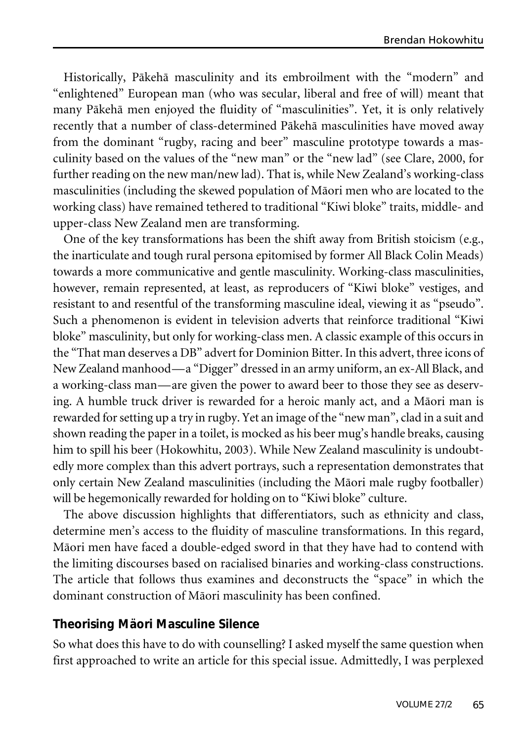Historically, Päkehä masculinity and its embroilment with the "modern" and "enlightened" European man (who was secular, liberal and free of will) meant that many Päkehä men enjoyed the fluidity of "masculinities". Yet, it is only relatively recently that a number of class-determined Päkehä masculinities have moved away from the dominant "rugby, racing and beer" masculine prototype towards a masculinity based on the values of the "new man" or the "new lad" (see Clare, 2000, for further reading on the new man/new lad). That is, while New Zealand's working-class masculinities (including the skewed population of Mäori men who are located to the working class) have remained tethered to traditional "Kiwi bloke" traits, middle- and upper-class New Zealand men are transforming.

One of the key transformations has been the shift away from British stoicism (e.g., the inarticulate and tough rural persona epitomised by former All Black Colin Meads) towards a more communicative and gentle masculinity. Working-class masculinities, however, remain represented, at least, as reproducers of "Kiwi bloke" vestiges, and resistant to and resentful of the transforming masculine ideal, viewing it as "pseudo". Such a phenomenon is evident in television adverts that reinforce traditional "Kiwi bloke" masculinity, but only for working-class men. A classic example of this occurs in the "That man deserves a DB" advert for Dominion Bitter. In this advert, three icons of New Zealand manhood—a "Digger" dressed in an army uniform, an ex-All Black, and a working-class man—are given the power to award beer to those they see as deserving. A humble truck driver is rewarded for a heroic manly act, and a Mäori man is rewarded forsetting up a try in rugby. Yet an image of the "new man", clad in a suit and shown reading the paper in a toilet, is mocked as his beer mug's handle breaks, causing him to spill his beer (Hokowhitu, 2003). While New Zealand masculinity is undoubtedly more complex than this advert portrays, such a representation demonstrates that only certain New Zealand masculinities (including the Mäori male rugby footballer) will be hegemonically rewarded for holding on to "Kiwi bloke" culture.

The above discussion highlights that differentiators, such as ethnicity and class, determine men's access to the fluidity of masculine transformations. In this regard, Mäori men have faced a double-edged sword in that they have had to contend with the limiting discourses based on racialised binaries and working-class constructions. The article that follows thus examines and deconstructs the "space" in which the dominant construction of Mäori masculinity has been confined.

## **Theorising Mäori Masculine Silence**

So what does this have to do with counselling? I asked myself the same question when first approached to write an article for this special issue. Admittedly, I was perplexed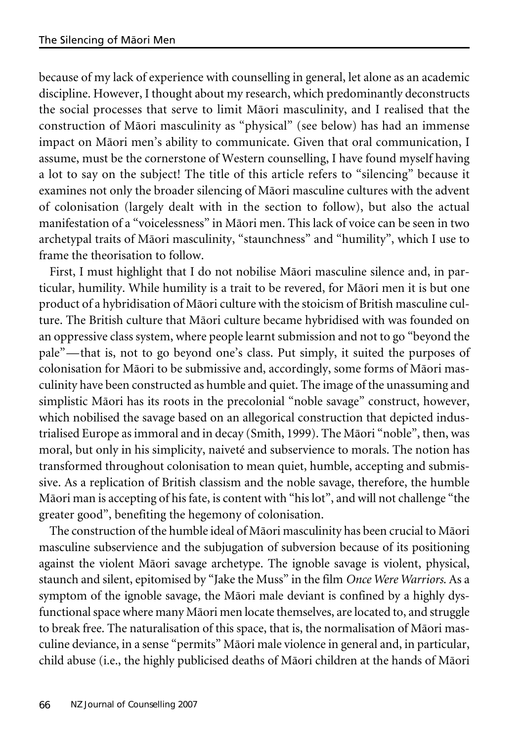because of my lack of experience with counselling in general, let alone as an academic discipline. However, I thought about my research, which predominantly deconstructs the social processes that serve to limit Mäori masculinity, and I realised that the construction of Mäori masculinity as "physical" (see below) has had an immense impact on Mäori men's ability to communicate. Given that oral communication, I assume, must be the cornerstone of Western counselling, I have found myself having a lot to say on the subject! The title of this article refers to "silencing" because it examines not only the broader silencing of Mäori masculine cultures with the advent of colonisation (largely dealt with in the section to follow), but also the actual manifestation of a "voicelessness" in Mäori men. This lack of voice can be seen in two archetypal traits of Mäori masculinity, "staunchness" and "humility", which I use to frame the theorisation to follow.

First, I must highlight that I do not nobilise Mäori masculine silence and, in particular, humility. While humility is a trait to be revered, for Mäori men it is but one product of a hybridisation of Mäori culture with the stoicism of British masculine culture. The British culture that Mäori culture became hybridised with was founded on an oppressive class system, where people learnt submission and not to go "beyond the pale"—that is, not to go beyond one's class. Put simply, it suited the purposes of colonisation for Mäori to be submissive and, accordingly, some forms of Mäori masculinity have been constructed as humble and quiet. The image of the unassuming and simplistic Mäori has its roots in the precolonial "noble savage" construct, however, which nobilised the savage based on an allegorical construction that depicted industrialised Europe as immoral and in decay (Smith, 1999). The Mäori "noble", then, was moral, but only in his simplicity, naiveté and subservience to morals. The notion has transformed throughout colonisation to mean quiet, humble, accepting and submissive. As a replication of British classism and the noble savage, therefore, the humble Mäori man is accepting of his fate, is content with "his lot", and will not challenge "the greater good", benefiting the hegemony of colonisation.

The construction of the humble ideal of Mäori masculinity has been crucial to Mäori masculine subservience and the subjugation of subversion because of its positioning against the violent Mäori savage archetype. The ignoble savage is violent, physical, staunch and silent, epitomised by "Jake the Muss" in the film *Once Were Warriors*. As a symptom of the ignoble savage, the Mäori male deviant is confined by a highly dysfunctional space where many Māori men locate themselves, are located to, and struggle to break free. The naturalisation of this space, that is, the normalisation of Mäori masculine deviance, in a sense "permits" Mäori male violence in general and, in particular, child abuse (i.e., the highly publicised deaths of Mäori children at the hands of Mäori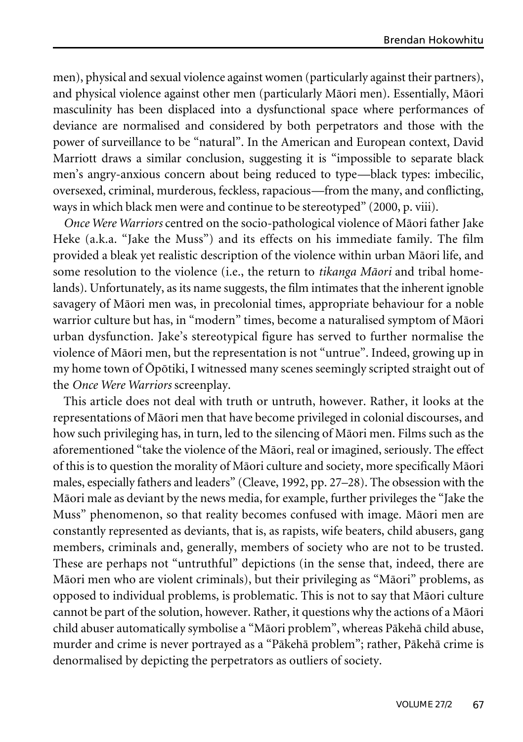men), physical and sexual violence against women (particularly against their partners), and physical violence against other men (particularly Mäori men). Essentially, Mäori masculinity has been displaced into a dysfunctional space where performances of deviance are normalised and considered by both perpetrators and those with the power of surveillance to be "natural". In the American and European context, David Marriott draws a similar conclusion, suggesting it is "impossible to separate black men's angry-anxious concern about being reduced to type—black types: imbecilic, oversexed, criminal, murderous, feckless, rapacious—from the many, and conflicting, ways in which black men were and continue to be stereotyped" (2000, p. viii).

*Once Were Warriors* centred on the socio-pathological violence of Mäori father Jake Heke (a.k.a. "Jake the Muss") and its effects on his immediate family. The film provided a bleak yet realistic description of the violence within urban Mäori life, and some resolution to the violence (i.e., the return to *tikanga Mäori* and tribal homelands). Unfortunately, as its name suggests, the film intimates that the inherent ignoble savagery of Mäori men was, in precolonial times, appropriate behaviour for a noble warrior culture but has, in "modern" times, become a naturalised symptom of Mäori urban dysfunction. Jake's stereotypical figure has served to further normalise the violence of Mäori men, but the representation is not "untrue". Indeed, growing up in my home town of Öpötiki, I witnessed many scenes seemingly scripted straight out of the *Once Were Warriors* screenplay.

This article does not deal with truth or untruth, however. Rather, it looks at the representations of Mäori men that have become privileged in colonial discourses, and how such privileging has, in turn, led to the silencing of Mäori men. Films such as the aforementioned "take the violence of the Mäori, real or imagined, seriously. The effect of this is to question the morality of Mäori culture and society, more specifically Mäori males, especially fathers and leaders" (Cleave, 1992, pp. 27–28). The obsession with the Mäori male as deviant by the news media, for example, further privileges the "Jake the Muss" phenomenon, so that reality becomes confused with image. Mäori men are constantly represented as deviants, that is, as rapists, wife beaters, child abusers, gang members, criminals and, generally, members of society who are not to be trusted. These are perhaps not "untruthful" depictions (in the sense that, indeed, there are Mäori men who are violent criminals), but their privileging as "Mäori" problems, as opposed to individual problems, is problematic. This is not to say that Mäori culture cannot be part of the solution, however. Rather, it questions why the actions of a Mäori child abuser automatically symbolise a "Mäori problem", whereas Päkehä child abuse, murder and crime is never portrayed as a "Päkehä problem"; rather, Päkehä crime is denormalised by depicting the perpetrators as outliers of society.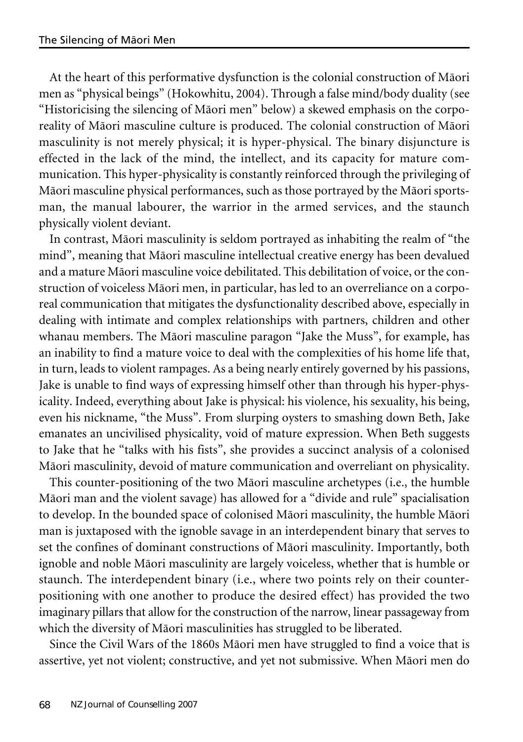At the heart of this performative dysfunction is the colonial construction of Mäori men as "physical beings" (Hokowhitu, 2004). Through a false mind/body duality (see "Historicising the silencing of Mäori men" below) a skewed emphasis on the corporeality of Mäori masculine culture is produced. The colonial construction of Mäori masculinity is not merely physical; it is hyper-physical. The binary disjuncture is effected in the lack of the mind, the intellect, and its capacity for mature communication. This hyper-physicality is constantly reinforced through the privileging of Mäori masculine physical performances, such as those portrayed by the Mäori sportsman, the manual labourer, the warrior in the armed services, and the staunch physically violent deviant.

In contrast, Mäori masculinity is seldom portrayed as inhabiting the realm of "the mind", meaning that Mäori masculine intellectual creative energy has been devalued and a mature Mäori masculine voice debilitated. This debilitation of voice, orthe construction of voiceless Mäori men, in particular, has led to an overreliance on a corporeal communication that mitigates the dysfunctionality described above, especially in dealing with intimate and complex relationships with partners, children and other whanau members. The Mäori masculine paragon "Jake the Muss", for example, has an inability to find a mature voice to deal with the complexities of his home life that, in turn, leads to violent rampages. As a being nearly entirely governed by his passions, Jake is unable to find ways of expressing himself other than through his hyper-physicality. Indeed, everything about Jake is physical: his violence, his sexuality, his being, even his nickname, "the Muss". From slurping oysters to smashing down Beth, Jake emanates an uncivilised physicality, void of mature expression. When Beth suggests to Jake that he "talks with his fists", she provides a succinct analysis of a colonised Mäori masculinity, devoid of mature communication and overreliant on physicality.

This counter-positioning of the two Mäori masculine archetypes (i.e., the humble Mäori man and the violent savage) has allowed for a "divide and rule" spacialisation to develop. In the bounded space of colonised Mäori masculinity, the humble Mäori man is juxtaposed with the ignoble savage in an interdependent binary that serves to set the confines of dominant constructions of Mäori masculinity. Importantly, both ignoble and noble Mäori masculinity are largely voiceless, whether that is humble or staunch. The interdependent binary (i.e., where two points rely on their counterpositioning with one another to produce the desired effect) has provided the two imaginary pillars that allow for the construction of the narrow, linear passageway from which the diversity of Mäori masculinities has struggled to be liberated.

Since the Civil Wars of the 1860s Mäori men have struggled to find a voice that is assertive, yet not violent; constructive, and yet not submissive. When Mäori men do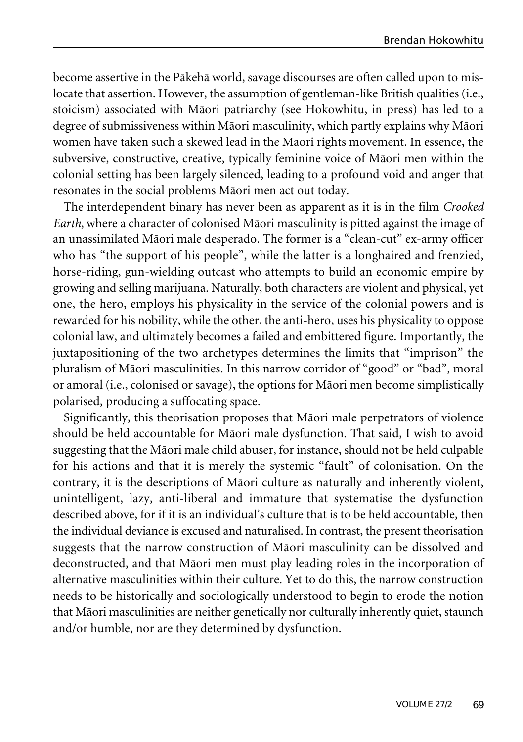become assertive in the Päkehä world, savage discourses are often called upon to mislocate that assertion. However, the assumption of gentleman-like British qualities (i.e., stoicism) associated with Mäori patriarchy (see Hokowhitu, in press) has led to a degree of submissiveness within Mäori masculinity, which partly explains why Mäori women have taken such a skewed lead in the Mäori rights movement. In essence, the subversive, constructive, creative, typically feminine voice of Mäori men within the colonial setting has been largely silenced, leading to a profound void and anger that resonates in the social problems Mäori men act out today.

The interdependent binary has never been as apparent as it is in the film *Crooked Earth*, where a character of colonised Mäori masculinity is pitted against the image of an unassimilated Mäori male desperado. The former is a "clean-cut" ex-army officer who has "the support of his people", while the latter is a longhaired and frenzied, horse-riding, gun-wielding outcast who attempts to build an economic empire by growing and selling marijuana. Naturally, both characters are violent and physical, yet one, the hero, employs his physicality in the service of the colonial powers and is rewarded for his nobility, while the other, the anti-hero, uses his physicality to oppose colonial law, and ultimately becomes a failed and embittered figure. Importantly, the juxtapositioning of the two archetypes determines the limits that "imprison" the pluralism of Mäori masculinities. In this narrow corridor of "good" or "bad", moral or amoral (i.e., colonised or savage), the options for Mäori men become simplistically polarised, producing a suffocating space.

Significantly, this theorisation proposes that Mäori male perpetrators of violence should be held accountable for Mäori male dysfunction. That said, I wish to avoid suggesting that the Mäori male child abuser, for instance, should not be held culpable for his actions and that it is merely the systemic "fault" of colonisation. On the contrary, it is the descriptions of Mäori culture as naturally and inherently violent, unintelligent, lazy, anti-liberal and immature that systematise the dysfunction described above, for if it is an individual's culture that is to be held accountable, then the individual deviance is excused and naturalised. In contrast, the present theorisation suggests that the narrow construction of Mäori masculinity can be dissolved and deconstructed, and that Mäori men must play leading roles in the incorporation of alternative masculinities within their culture. Yet to do this, the narrow construction needs to be historically and sociologically understood to begin to erode the notion that Mäori masculinities are neither genetically nor culturally inherently quiet, staunch and/or humble, nor are they determined by dysfunction.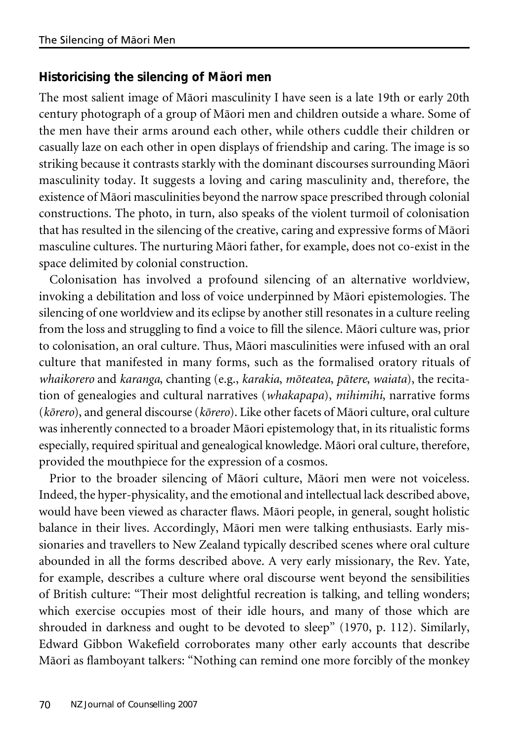## **Historicising the silencing of Mäori men**

The most salient image of Mäori masculinity I have seen is a late 19th or early 20th century photograph of a group of Mäori men and children outside a whare. Some of the men have their arms around each other, while others cuddle their children or casually laze on each other in open displays of friendship and caring. The image is so striking because it contrasts starkly with the dominant discourses surrounding Mäori masculinity today. It suggests a loving and caring masculinity and, therefore, the existence of Mäori masculinities beyond the narrow space prescribed through colonial constructions. The photo, in turn, also speaks of the violent turmoil of colonisation that has resulted in the silencing of the creative, caring and expressive forms of Mäori masculine cultures. The nurturing Mäori father, for example, does not co-exist in the space delimited by colonial construction.

Colonisation has involved a profound silencing of an alternative worldview, invoking a debilitation and loss of voice underpinned by Mäori epistemologies. The silencing of one worldview and its eclipse by another still resonates in a culture reeling from the loss and struggling to find a voice to fill the silence. Mäori culture was, prior to colonisation, an oral culture. Thus, Mäori masculinities were infused with an oral culture that manifested in many forms, such as the formalised oratory rituals of *whaikorero* and *karanga*, chanting (e.g., *karakia*, *möteatea*, *pätere*, *waiata*), the recitation of genealogies and cultural narratives (*whakapapa*), *mihimihi*, narrative forms (*körero*), and general discourse (*körero*). Like other facets of Mäori culture, oral culture was inherently connected to a broader Mäori epistemology that, in its ritualistic forms especially, required spiritual and genealogical knowledge. Mäori oral culture, therefore, provided the mouthpiece for the expression of a cosmos.

Prior to the broader silencing of Mäori culture, Mäori men were not voiceless. Indeed, the hyper-physicality, and the emotional and intellectual lack described above, would have been viewed as character flaws. Mäori people, in general, sought holistic balance in their lives. Accordingly, Mäori men were talking enthusiasts. Early missionaries and travellers to New Zealand typically described scenes where oral culture abounded in all the forms described above. A very early missionary, the Rev. Yate, for example, describes a culture where oral discourse went beyond the sensibilities of British culture: "Their most delightful recreation is talking, and telling wonders; which exercise occupies most of their idle hours, and many of those which are shrouded in darkness and ought to be devoted to sleep" (1970, p. 112). Similarly, Edward Gibbon Wakefield corroborates many other early accounts that describe Mäori as flamboyant talkers: "Nothing can remind one more forcibly of the monkey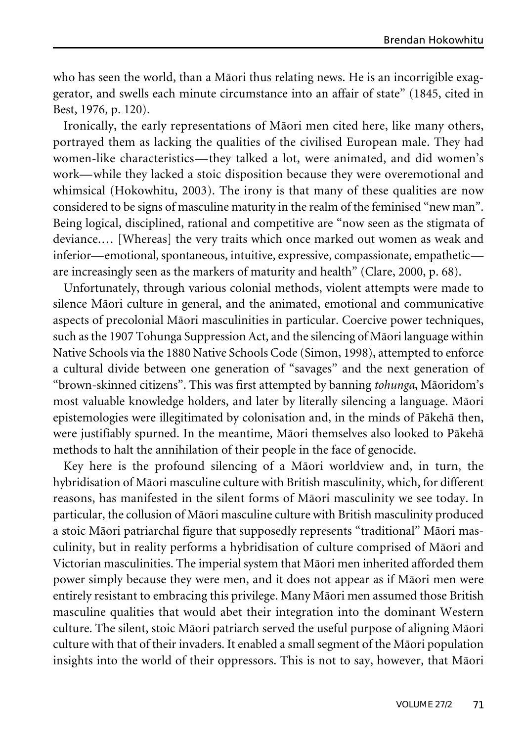who has seen the world, than a Mäori thus relating news. He is an incorrigible exaggerator, and swells each minute circumstance into an affair of state" (1845, cited in Best, 1976, p. 120).

Ironically, the early representations of Mäori men cited here, like many others, portrayed them as lacking the qualities of the civilised European male. They had women-like characteristics—they talked a lot, were animated, and did women's work—while they lacked a stoic disposition because they were overemotional and whimsical (Hokowhitu, 2003). The irony is that many of these qualities are now considered to be signs of masculine maturity in the realm of the feminised "new man". Being logical, disciplined, rational and competitive are "now seen as the stigmata of deviance.… [Whereas] the very traits which once marked out women as weak and inferior—emotional, spontaneous, intuitive, expressive, compassionate, empathetic are increasingly seen as the markers of maturity and health" (Clare, 2000, p. 68).

Unfortunately, through various colonial methods, violent attempts were made to silence Mäori culture in general, and the animated, emotional and communicative aspects of precolonial Mäori masculinities in particular. Coercive power techniques, such as the 1907 Tohunga Suppression Act, and the silencing of Mäori language within Native Schools via the 1880 Native Schools Code (Simon, 1998), attempted to enforce a cultural divide between one generation of "savages" and the next generation of "brown-skinned citizens". This was first attempted by banning *tohunga*, Mäoridom's most valuable knowledge holders, and later by literally silencing a language. Mäori epistemologies were illegitimated by colonisation and, in the minds of Päkehä then, were justifiably spurned. In the meantime, Mäori themselves also looked to Päkehä methods to halt the annihilation of their people in the face of genocide.

Key here is the profound silencing of a Mäori worldview and, in turn, the hybridisation of Mäori masculine culture with British masculinity, which, for different reasons, has manifested in the silent forms of Mäori masculinity we see today. In particular, the collusion of Mäori masculine culture with British masculinity produced a stoic Mäori patriarchal figure that supposedly represents "traditional" Mäori masculinity, but in reality performs a hybridisation of culture comprised of Mäori and Victorian masculinities. The imperial system that Mäori men inherited afforded them power simply because they were men, and it does not appear as if Mäori men were entirely resistant to embracing this privilege. Many Mäori men assumed those British masculine qualities that would abet their integration into the dominant Western culture. The silent, stoic Mäori patriarch served the useful purpose of aligning Mäori culture with that of their invaders. It enabled a small segment of the Mäori population insights into the world of their oppressors. This is not to say, however, that Mäori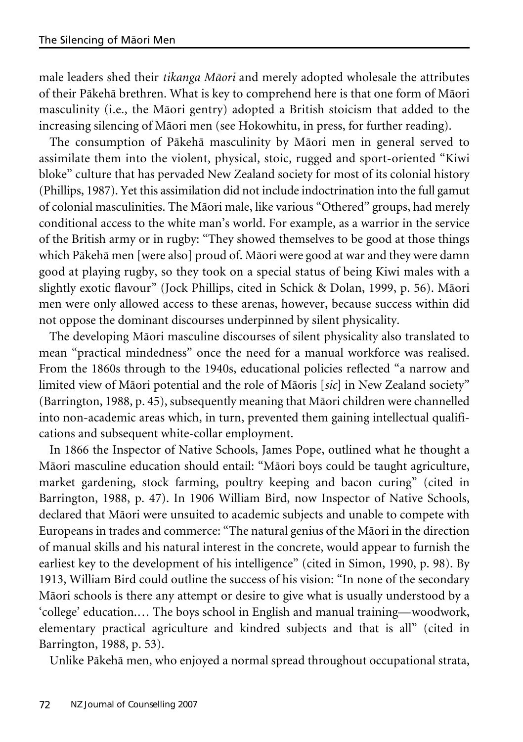male leaders shed their *tikanga Mäori* and merely adopted wholesale the attributes of their Päkehä brethren. What is key to comprehend here is that one form of Mäori masculinity (i.e., the Mäori gentry) adopted a British stoicism that added to the increasing silencing of Mäori men (see Hokowhitu, in press, for further reading).

The consumption of Päkehä masculinity by Mäori men in general served to assimilate them into the violent, physical, stoic, rugged and sport-oriented "Kiwi bloke" culture that has pervaded New Zealand society for most of its colonial history (Phillips, 1987). Yet this assimilation did not include indoctrination into the full gamut of colonial masculinities. The Mäori male, like various "Othered" groups, had merely conditional access to the white man's world. For example, as a warrior in the service of the British army or in rugby: "They showed themselves to be good at those things which Päkehä men [were also] proud of. Mäori were good at war and they were damn good at playing rugby, so they took on a special status of being Kiwi males with a slightly exotic flavour" (Jock Phillips, cited in Schick & Dolan, 1999, p. 56). Mäori men were only allowed access to these arenas, however, because success within did not oppose the dominant discourses underpinned by silent physicality.

The developing Mäori masculine discourses of silent physicality also translated to mean "practical mindedness" once the need for a manual workforce was realised. From the 1860s through to the 1940s, educational policies reflected "a narrow and limited view of Mäori potential and the role of Mäoris [*sic*] in New Zealand society" (Barrington, 1988, p. 45), subsequently meaning that Mäori children were channelled into non-academic areas which, in turn, prevented them gaining intellectual qualifications and subsequent white-collar employment.

In 1866 the Inspector of Native Schools, James Pope, outlined what he thought a Mäori masculine education should entail: "Mäori boys could be taught agriculture, market gardening, stock farming, poultry keeping and bacon curing" (cited in Barrington, 1988, p. 47). In 1906 William Bird, now Inspector of Native Schools, declared that Mäori were unsuited to academic subjects and unable to compete with Europeans in trades and commerce: "The natural genius of the Mäori in the direction of manual skills and his natural interest in the concrete, would appear to furnish the earliest key to the development of his intelligence" (cited in Simon, 1990, p. 98). By 1913, William Bird could outline the success of his vision: "In none of the secondary Mäori schools is there any attempt or desire to give what is usually understood by a 'college' education.… The boys school in English and manual training—woodwork, elementary practical agriculture and kindred subjects and that is all" (cited in Barrington, 1988, p. 53).

Unlike Päkehä men, who enjoyed a normal spread throughout occupational strata,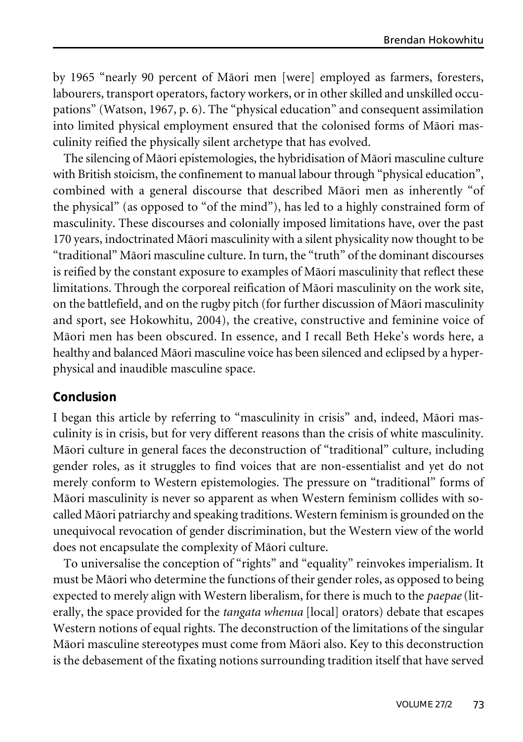by 1965 "nearly 90 percent of Mäori men [were] employed as farmers, foresters, labourers, transport operators, factory workers, orin other skilled and unskilled occupations" (Watson, 1967, p. 6). The "physical education" and consequent assimilation into limited physical employment ensured that the colonised forms of Mäori masculinity reified the physically silent archetype that has evolved.

The silencing of Mäori epistemologies, the hybridisation of Mäori masculine culture with British stoicism, the confinement to manual labour through "physical education", combined with a general discourse that described Mäori men as inherently "of the physical" (as opposed to "of the mind"), has led to a highly constrained form of masculinity. These discourses and colonially imposed limitations have, over the past 170 years, indoctrinated Mäori masculinity with a silent physicality now thought to be "traditional" Mäori masculine culture. In turn, the "truth" of the dominant discourses is reified by the constant exposure to examples of Mäori masculinity that reflect these limitations. Through the corporeal reification of Mäori masculinity on the work site, on the battlefield, and on the rugby pitch (for further discussion of Mäori masculinity and sport, see Hokowhitu, 2004), the creative, constructive and feminine voice of Mäori men has been obscured. In essence, and I recall Beth Heke's words here, a healthy and balanced Mäori masculine voice has been silenced and eclipsed by a hyperphysical and inaudible masculine space.

### **Conclusion**

I began this article by referring to "masculinity in crisis" and, indeed, Mäori masculinity is in crisis, but for very different reasons than the crisis of white masculinity. Mäori culture in general faces the deconstruction of "traditional" culture, including gender roles, as it struggles to find voices that are non-essentialist and yet do not merely conform to Western epistemologies. The pressure on "traditional" forms of Mäori masculinity is never so apparent as when Western feminism collides with socalled Mäori patriarchy and speaking traditions. Western feminism is grounded on the unequivocal revocation of gender discrimination, but the Western view of the world does not encapsulate the complexity of Mäori culture.

To universalise the conception of "rights" and "equality" reinvokes imperialism. It must be Mäori who determine the functions of their gender roles, as opposed to being expected to merely align with Western liberalism, for there is much to the *paepae* (literally, the space provided for the *tangata whenua* [local] orators) debate that escapes Western notions of equal rights. The deconstruction of the limitations of the singular Mäori masculine stereotypes must come from Mäori also. Key to this deconstruction is the debasement of the fixating notions surrounding tradition itself that have served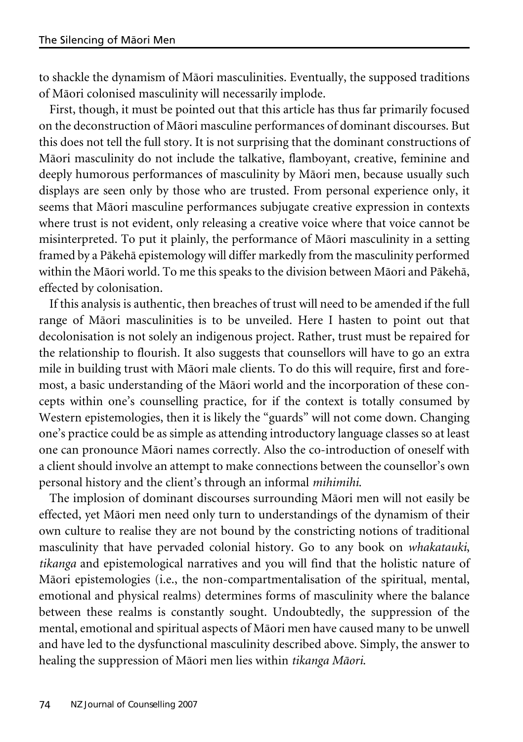to shackle the dynamism of Mäori masculinities. Eventually, the supposed traditions of Mäori colonised masculinity will necessarily implode.

First, though, it must be pointed out that this article has thus far primarily focused on the deconstruction of Mäori masculine performances of dominant discourses. But this does not tell the full story. It is not surprising that the dominant constructions of Mäori masculinity do not include the talkative, flamboyant, creative, feminine and deeply humorous performances of masculinity by Mäori men, because usually such displays are seen only by those who are trusted. From personal experience only, it seems that Mäori masculine performances subjugate creative expression in contexts where trust is not evident, only releasing a creative voice where that voice cannot be misinterpreted. To put it plainly, the performance of Mäori masculinity in a setting framed by a Päkehä epistemology will differ markedly from the masculinity performed within the Mäori world. To me this speaks to the division between Mäori and Päkehä, effected by colonisation.

If this analysis is authentic, then breaches of trust will need to be amended if the full range of Mäori masculinities is to be unveiled. Here I hasten to point out that decolonisation is not solely an indigenous project. Rather, trust must be repaired for the relationship to flourish. It also suggests that counsellors will have to go an extra mile in building trust with Mäori male clients. To do this will require, first and foremost, a basic understanding of the Mäori world and the incorporation of these concepts within one's counselling practice, for if the context is totally consumed by Western epistemologies, then it is likely the "guards" will not come down. Changing one's practice could be as simple as attending introductory language classes so at least one can pronounce Mäori names correctly. Also the co-introduction of oneself with a client should involve an attempt to make connections between the counsellor's own personal history and the client's through an informal *mihimihi*.

The implosion of dominant discourses surrounding Mäori men will not easily be effected, yet Mäori men need only turn to understandings of the dynamism of their own culture to realise they are not bound by the constricting notions of traditional masculinity that have pervaded colonial history. Go to any book on *whakatauki*, *tikanga* and epistemological narratives and you will find that the holistic nature of Mäori epistemologies (i.e., the non-compartmentalisation of the spiritual, mental, emotional and physical realms) determines forms of masculinity where the balance between these realms is constantly sought. Undoubtedly, the suppression of the mental, emotional and spiritual aspects of Mäori men have caused many to be unwell and have led to the dysfunctional masculinity described above. Simply, the answer to healing the suppression of Mäori men lies within *tikanga Mäori*.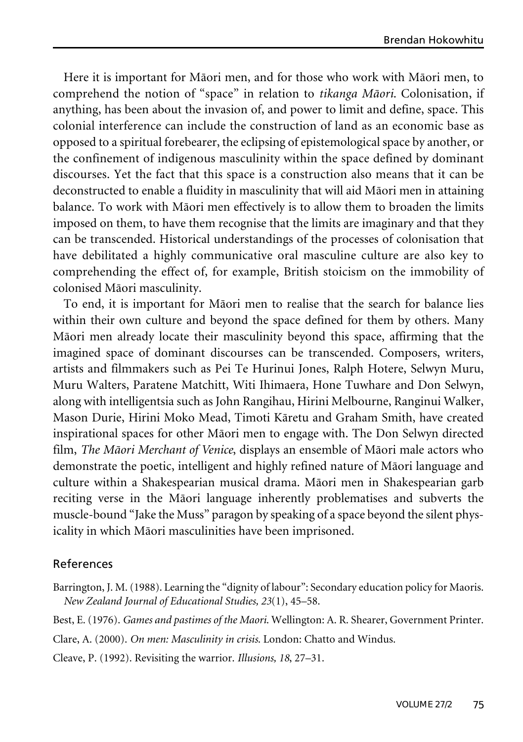Here it is important for Mäori men, and for those who work with Mäori men, to comprehend the notion of "space" in relation to *tikanga Mäori*. Colonisation, if anything, has been about the invasion of, and power to limit and define, space. This colonial interference can include the construction of land as an economic base as opposed to a spiritual forebearer, the eclipsing of epistemological space by another, or the confinement of indigenous masculinity within the space defined by dominant discourses. Yet the fact that this space is a construction also means that it can be deconstructed to enable a fluidity in masculinity that will aid Mäori men in attaining balance. To work with Mäori men effectively is to allow them to broaden the limits imposed on them, to have them recognise that the limits are imaginary and that they can be transcended. Historical understandings of the processes of colonisation that have debilitated a highly communicative oral masculine culture are also key to comprehending the effect of, for example, British stoicism on the immobility of colonised Mäori masculinity.

To end, it is important for Mäori men to realise that the search for balance lies within their own culture and beyond the space defined for them by others. Many Mäori men already locate their masculinity beyond this space, affirming that the imagined space of dominant discourses can be transcended. Composers, writers, artists and filmmakers such as Pei Te Hurinui Jones, Ralph Hotere, Selwyn Muru, Muru Walters, Paratene Matchitt, Witi Ihimaera, Hone Tuwhare and Don Selwyn, along with intelligentsia such as John Rangihau, Hirini Melbourne, Ranginui Walker, Mason Durie, Hirini Moko Mead, Timoti Käretu and Graham Smith, have created inspirational spaces for other Mäori men to engage with. The Don Selwyn directed film, *The Mäori Merchant of Venice*, displays an ensemble of Mäori male actors who demonstrate the poetic, intelligent and highly refined nature of Mäori language and culture within a Shakespearian musical drama. Mäori men in Shakespearian garb reciting verse in the Mäori language inherently problematises and subverts the muscle-bound "Jake the Muss" paragon by speaking of a space beyond the silent physicality in which Mäori masculinities have been imprisoned.

### References

- Barrington, J. M.(1988). Learning the "dignity of labour": Secondary education policy for Maoris. *New Zealand Journal of Educational Studies, 23*(1), 45–58.
- Best, E. (1976). *Games and pastimes of the Maori*. Wellington: A. R. Shearer, Government Printer.

Clare, A. (2000). *On men: Masculinity in crisis*. London: Chatto and Windus.

Cleave, P. (1992). Revisiting the warrior. *Illusions, 18*, 27–31.